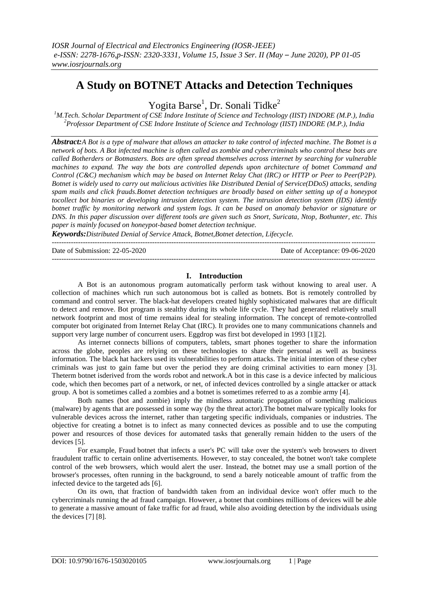# **A Study on BOTNET Attacks and Detection Techniques**

Yogita Barse<sup>1</sup>, Dr. Sonali Tidke<sup>2</sup>

*<sup>1</sup>M.Tech. Scholar Department of CSE Indore Institute of Science and Technology (IIST) INDORE (M.P.), India <sup>2</sup>Professor Department of CSE Indore Institute of Science and Technology (IIST) INDORE (M.P.), India*

*Abstract:A Bot is a type of malware that allows an attacker to take control of infected machine. The Botnet is a network of bots. A Bot infected machine is often called as zombie and cybercriminals who control these bots are called Botherders or Botmasters. Bots are often spread themselves across internet by searching for vulnerable machines to expand. The way the bots are controlled depends upon architecture of botnet Command and Control (C&C) mechanism which may be based on Internet Relay Chat (IRC) or HTTP or Peer to Peer(P2P). Botnet is widely used to carry out malicious activities like Distributed Denial of Service(DDoS) attacks, sending spam mails and click frauds.Botnet detection techniques are broadly based on either setting up of a honeypot tocollect bot binaries or developing intrusion detection system. The intrusion detection system (IDS) identify botnet traffic by monitoring network and system logs. It can be based on anomaly behavior or signature or DNS. In this paper discussion over different tools are given such as Snort, Suricata, Ntop, Bothunter, etc. This paper is mainly focused on honeypot-based botnet detection technique.*

*Keywords:Distributed Denial of Service Attack, Botnet,Botnet detection, Lifecycle.* ---------------------------------------------------------------------------------------------------------------------------------------

Date of Submission: 22-05-2020 Date of Acceptance: 09-06-2020 ---------------------------------------------------------------------------------------------------------------------------------------

### **I. Introduction**

A Bot is an autonomous program automatically perform task without knowing to areal user. A collection of machines which run such autonomous bot is called as botnets. Bot is remotely controlled by command and control server. The black-hat developers created highly sophisticated malwares that are difficult to detect and remove. Bot program is stealthy during its whole life cycle. They had generated relatively small network footprint and most of time remains ideal for stealing information. The concept of remote-controlled computer bot originated from Internet Relay Chat (IRC). It provides one to many communications channels and support very large number of concurrent users. Eggdrop was first bot developed in 1993 [1][2].

As internet connects billions of computers, tablets, smart phones together to share the information across the globe, peoples are relying on these technologies to share their personal as well as business information. The black hat hackers used its vulnerabilities to perform attacks. The initial intention of these cyber criminals was just to gain fame but over the period they are doing criminal activities to earn money [3]. Theterm botnet isderived from the words robot and network.A bot in this case is a device infected by malicious code, which then becomes part of a network, or net, of infected devices controlled by a single attacker or attack group. A bot is sometimes called a zombies and a botnet is sometimes referred to as a zombie army [4].

Both names (bot and zombie) imply the mindless automatic propagation of something malicious (malware) by agents that are possessed in some way (by the threat actor).The botnet malware typically looks for vulnerable devices across the internet, rather than targeting specific individuals, companies or industries. The objective for creating a botnet is to infect as many connected devices as possible and to use the computing power and resources of those devices for automated tasks that generally remain hidden to the users of the devices [5].

For example, Fraud botnet that infects a user's PC will take over the system's web browsers to divert fraudulent traffic to certain online advertisements. However, to stay concealed, the botnet won't take complete control of the web browsers, which would alert the user. Instead, the botnet may use a small portion of the browser's processes, often running in the background, to send a barely noticeable amount of traffic from the infected device to the targeted ads [6].

On its own, that fraction of bandwidth taken from an individual device won't offer much to the cybercriminals running the ad fraud campaign. However, a botnet that combines millions of devices will be able to generate a massive amount of fake traffic for ad fraud, while also avoiding detection by the individuals using the devices [7] [8].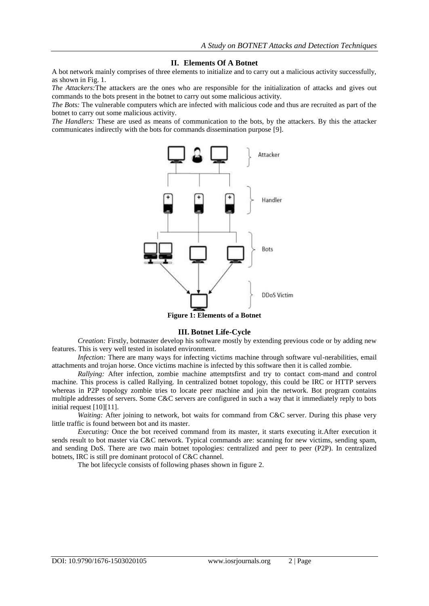#### **II. Elements Of A Botnet**

A bot network mainly comprises of three elements to initialize and to carry out a malicious activity successfully, as shown in Fig. 1.

*The Attackers:*The attackers are the ones who are responsible for the initialization of attacks and gives out commands to the bots present in the botnet to carry out some malicious activity.

*The Bots:* The vulnerable computers which are infected with malicious code and thus are recruited as part of the botnet to carry out some malicious activity.

*The Handlers:* These are used as means of communication to the bots, by the attackers. By this the attacker communicates indirectly with the bots for commands dissemination purpose [9].



**Figure 1: Elements of a Botnet**

#### **III. Botnet Life-Cycle**

*Creation:* Firstly, botmaster develop his software mostly by extending previous code or by adding new features. This is very well tested in isolated environment.

*Infection:* There are many ways for infecting victims machine through software vul-nerabilities, email attachments and trojan horse. Once victims machine is infected by this software then it is called zombie.

*Rallying:* After infection, zombie machine attemptsfirst and try to contact com-mand and control machine. This process is called Rallying. In centralized botnet topology, this could be IRC or HTTP servers whereas in P2P topology zombie tries to locate peer machine and join the network. Bot program contains multiple addresses of servers. Some C&C servers are configured in such a way that it immediately reply to bots initial request [10][11].

*Waiting:* After joining to network, bot waits for command from C&C server. During this phase very little traffic is found between bot and its master.

*Executing:* Once the bot received command from its master, it starts executing it.After execution it sends result to bot master via C&C network. Typical commands are: scanning for new victims, sending spam, and sending DoS. There are two main botnet topologies: centralized and peer to peer (P2P). In centralized botnets, IRC is still pre dominant protocol of C&C channel.

The bot lifecycle consists of following phases shown in figure 2.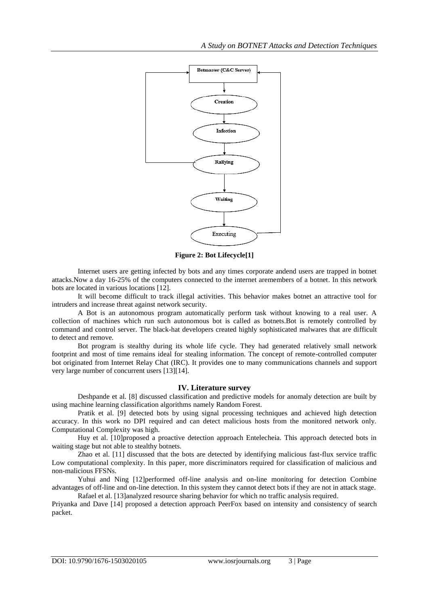

**Figure 2: Bot Lifecycle[1]**

Internet users are getting infected by bots and any times corporate andend users are trapped in botnet attacks.Now a day 16-25% of the computers connected to the internet aremembers of a botnet. In this network bots are located in various locations [12].

It will become difficult to track illegal activities. This behavior makes botnet an attractive tool for intruders and increase threat against network security.

A Bot is an autonomous program automatically perform task without knowing to a real user. A collection of machines which run such autonomous bot is called as botnets.Bot is remotely controlled by command and control server. The black-hat developers created highly sophisticated malwares that are difficult to detect and remove.

Bot program is stealthy during its whole life cycle. They had generated relatively small network footprint and most of time remains ideal for stealing information. The concept of remote-controlled computer bot originated from Internet Relay Chat (IRC). It provides one to many communications channels and support very large number of concurrent users [13][14].

## **IV. Literature survey**

Deshpande et al. [8] discussed classification and predictive models for anomaly detection are built by using machine learning classification algorithms namely Random Forest.

Pratik et al. [9] detected bots by using signal processing techniques and achieved high detection accuracy. In this work no DPI required and can detect malicious hosts from the monitored network only. Computational Complexity was high.

Huy et al. [10]proposed a proactive detection approach Entelecheia. This approach detected bots in waiting stage but not able to stealthy botnets.

Zhao et al. [11] discussed that the bots are detected by identifying malicious fast-flux service traffic Low computational complexity. In this paper, more discriminators required for classification of malicious and non-malicious FFSNs.

Yuhui and Ning [12]performed off-line analysis and on-line monitoring for detection Combine advantages of off-line and on-line detection. In this system they cannot detect bots if they are not in attack stage. Rafael et al. [13]analyzed resource sharing behavior for which no traffic analysis required.

Priyanka and Dave [14] proposed a detection approach PeerFox based on intensity and consistency of search packet.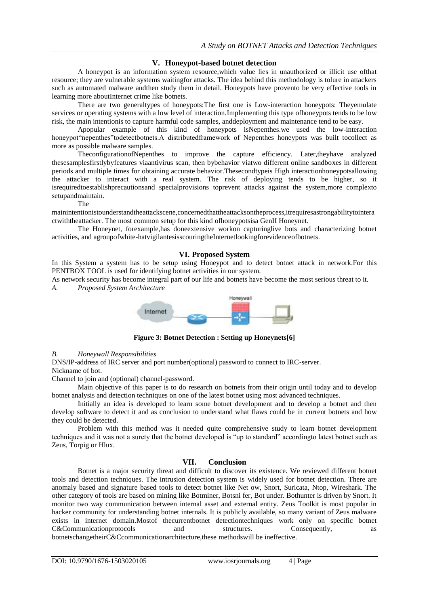# **V. Honeypot-based botnet detection**

A honeypot is an information system resource,which value lies in unauthorized or illicit use ofthat resource; they are vulnerable systems waitingfor attacks. The idea behind this methodology is tolure in attackers such as automated malware andthen study them in detail. Honeypots have provento be very effective tools in learning more aboutInternet crime like botnets.

There are two generaltypes of honeypots:The first one is Low-interaction honeypots: Theyemulate services or operating systems with a low level of interaction.Implementing this type ofhoneypots tends to be low risk, the main intentionis to capture harmful code samples, anddeployment and maintenance tend to be easy.

Apopular example of this kind of honeypots isNepenthes.we used the low-interaction honeypot"nepenthes"todetectbotnets.A distributedframework of Nepenthes honeypots was built tocollect as more as possible malware samples.

TheconfigurationofNepenthes to improve the capture efficiency. Later,theyhave analyzed thesesamplesfirstlybyfeatures viaantivirus scan, then bybehavior viatwo different online sandboxes in different periods and multiple times for obtaining accurate behavior.Thesecondtypeis High interactionhoneypotsallowing the attacker to interact with a real system. The risk of deploying tends to be higher, so it isrequiredtoestablishprecautionsand specialprovisions toprevent attacks against the system,more complexto setupandmaintain.

The

mainintentionistounderstandtheattackscene,concernedthattheattacksontheprocess,itrequiresastrongabilitytointera ctwiththeattacker. The most common setup for this kind ofhoneypotsisa GenII Honeynet.

The Honeynet, forexample,has doneextensive workon capturinglive bots and characterizing botnet activities, and agroupofwhite-hatvigilantesisscouringtheInternetlookingforevidenceofbotnets.

## **VI. Proposed System**

In this System a system has to be setup using Honeypot and to detect botnet attack in network.For this PENTBOX TOOL is used for identifying botnet activities in our system.

As network security has become integral part of our life and botnets have become the most serious threat to it.

*A. Proposed System Architecture*



**Figure 3: Botnet Detection : Setting up Honeynets[6]**

# *B. Honeywall Responsibilities*

DNS/IP-address of IRC server and port number(optional) password to connect to IRC-server. Nickname of bot.

Channel to join and (optional) channel-password.

Main objective of this paper is to do research on botnets from their origin until today and to develop botnet analysis and detection techniques on one of the latest botnet using most advanced techniques.

Initially an idea is developed to learn some botnet development and to develop a botnet and then develop software to detect it and as conclusion to understand what flaws could be in current botnets and how they could be detected.

Problem with this method was it needed quite comprehensive study to learn botnet development techniques and it was not a surety that the botnet developed is "up to standard" accordingto latest botnet such as Zeus, Torpig or Hlux.

# **VII. Conclusion**

Botnet is a major security threat and difficult to discover its existence. We reviewed different botnet tools and detection techniques. The intrusion detection system is widely used for botnet detection. There are anomaly based and signature based tools to detect botnet like Net ow, Snort, Suricata, Ntop, Wireshark. The other category of tools are based on mining like Botminer, Botsni fer, Bot under. Bothunter is driven by Snort. It monitor two way communication between internal asset and external entity. Zeus Toolkit is most popular in hacker community for understanding botnet internals. It is publicly available, so many variant of Zeus malware exists in internet domain.Mostof thecurrentbotnet detectiontechniques work only on specific botnet C&Communicationprotocols and structures. Consequently, as botnetschangetheirC&Ccommunicationarchitecture,these methodswill be ineffective.